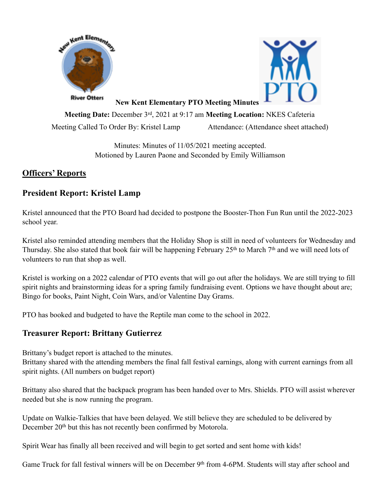



**New Kent Elementary PTO Meeting Minutes**

**Meeting Date:** December 3rd, 2021 at 9:17 am **Meeting Location:** NKES Cafeteria

Meeting Called To Order By: Kristel Lamp Attendance: (Attendance sheet attached)

Minutes: Minutes of 11/05/2021 meeting accepted. Motioned by Lauren Paone and Seconded by Emily Williamson

# **Officers' Reports**

## **President Report: Kristel Lamp**

Kristel announced that the PTO Board had decided to postpone the Booster-Thon Fun Run until the 2022-2023 school year.

Kristel also reminded attending members that the Holiday Shop is still in need of volunteers for Wednesday and Thursday. She also stated that book fair will be happening February 25<sup>th</sup> to March 7<sup>th</sup> and we will need lots of volunteers to run that shop as well.

Kristel is working on a 2022 calendar of PTO events that will go out after the holidays. We are still trying to fill spirit nights and brainstorming ideas for a spring family fundraising event. Options we have thought about are; Bingo for books, Paint Night, Coin Wars, and/or Valentine Day Grams.

PTO has booked and budgeted to have the Reptile man come to the school in 2022.

## **Treasurer Report: Brittany Gutierrez**

Brittany's budget report is attached to the minutes.

Brittany shared with the attending members the final fall festival earnings, along with current earnings from all spirit nights. (All numbers on budget report)

Brittany also shared that the backpack program has been handed over to Mrs. Shields. PTO will assist wherever needed but she is now running the program.

Update on Walkie-Talkies that have been delayed. We still believe they are scheduled to be delivered by December 20<sup>th</sup> but this has not recently been confirmed by Motorola.

Spirit Wear has finally all been received and will begin to get sorted and sent home with kids!

Game Truck for fall festival winners will be on December 9<sup>th</sup> from 4-6PM. Students will stay after school and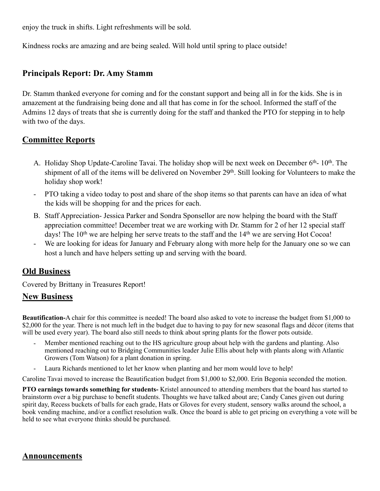enjoy the truck in shifts. Light refreshments will be sold.

Kindness rocks are amazing and are being sealed. Will hold until spring to place outside!

## **Principals Report: Dr. Amy Stamm**

Dr. Stamm thanked everyone for coming and for the constant support and being all in for the kids. She is in amazement at the fundraising being done and all that has come in for the school. Informed the staff of the Admins 12 days of treats that she is currently doing for the staff and thanked the PTO for stepping in to help with two of the days.

### **Committee Reports**

- A. Holiday Shop Update-Caroline Tavai. The holiday shop will be next week on December 6<sup>th</sup>- 10<sup>th</sup>. The shipment of all of the items will be delivered on November 29<sup>th</sup>. Still looking for Volunteers to make the holiday shop work!
- PTO taking a video today to post and share of the shop items so that parents can have an idea of what the kids will be shopping for and the prices for each.
- B. Staff Appreciation- Jessica Parker and Sondra Sponsellor are now helping the board with the Staff appreciation committee! December treat we are working with Dr. Stamm for 2 of her 12 special staff days! The  $10<sup>th</sup>$  we are helping her serve treats to the staff and the  $14<sup>th</sup>$  we are serving Hot Cocoa!
- We are looking for ideas for January and February along with more help for the January one so we can host a lunch and have helpers setting up and serving with the board.

### **Old Business**

Covered by Brittany in Treasures Report!

#### **New Business**

**Beautification-**A chair for this committee is needed! The board also asked to vote to increase the budget from \$1,000 to \$2,000 for the year. There is not much left in the budget due to having to pay for new seasonal flags and décor (items that will be used every year). The board also still needs to think about spring plants for the flower pots outside.

- Member mentioned reaching out to the HS agriculture group about help with the gardens and planting. Also mentioned reaching out to Bridging Communities leader Julie Ellis about help with plants along with Atlantic Growers (Tom Watson) for a plant donation in spring.
- Laura Richards mentioned to let her know when planting and her mom would love to help!

Caroline Tavai moved to increase the Beautification budget from \$1,000 to \$2,000. Erin Begonia seconded the motion.

**PTO earnings towards something for students-** Kristel announced to attending members that the board has started to brainstorm over a big purchase to benefit students. Thoughts we have talked about are; Candy Canes given out during spirit day, Recess buckets of balls for each grade, Hats or Gloves for every student, sensory walks around the school, a book vending machine, and/or a conflict resolution walk. Once the board is able to get pricing on everything a vote will be held to see what everyone thinks should be purchased.

### **Announcements**